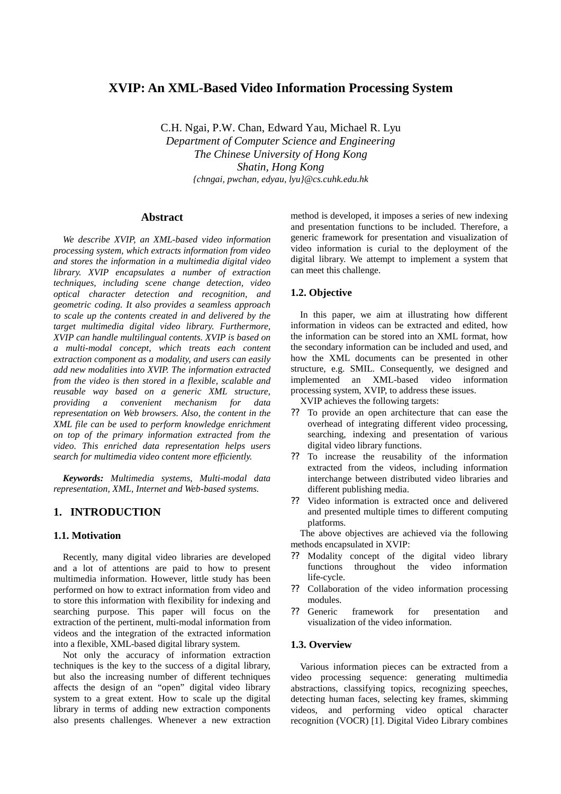# **XVIP: An XML-Based Video Information Processing System**

C.H. Ngai, P.W. Chan, Edward Yau, Michael R. Lyu *Department of Computer Science and Engineering The Chinese University of Hong Kong Shatin, Hong Kong {chngai, pwchan, edyau, lyu}@cs.cuhk.edu.hk* 

# **Abstract**

*We describe XVIP, an XML-based video information processing system, which extracts information from video and stores the information in a multimedia digital video library. XVIP encapsulates a number of extraction techniques, including scene change detection, video optical character detection and recognition, and geometric coding. It also provides a seamless approach to scale up the contents created in and delivered by the target multimedia digital video library. Furthermore, XVIP can handle multilingual contents. XVIP is based on a multi-modal concept, which treats each content extraction component as a modality, and users can easily add new modalities into XVIP. The information extracted from the video is then stored in a flexible, scalable and reusable way based on a generic XML structure, providing a convenient mechanism for data representation on Web browsers. Also, the content in the XML file can be used to perform knowledge enrichment on top of the primary information extracted from the video. This enriched data representation helps users search for multimedia video content more efficiently.* 

*Keywords: Multimedia systems, Multi-modal data representation, XML, Internet and Web-based systems.*

# **1. INTRODUCTION**

### **1.1. Motivation**

Recently, many digital video libraries are developed and a lot of attentions are paid to how to present multimedia information. However, little study has been performed on how to extract information from video and to store this information with flexibility for indexing and searching purpose. This paper will focus on the extraction of the pertinent, multi-modal information from videos and the integration of the extracted information into a flexible, XML-based digital library system.

Not only the accuracy of information extraction techniques is the key to the success of a digital library, but also the increasing number of different techniques affects the design of an "open" digital video library system to a great extent. How to scale up the digital library in terms of adding new extraction components also presents challenges. Whenever a new extraction

method is developed, it imposes a series of new indexing and presentation functions to be included. Therefore, a generic framework for presentation and visualization of video information is curial to the deployment of the digital library. We attempt to implement a system that can meet this challenge.

### **1.2. Objective**

In this paper, we aim at illustrating how different information in videos can be extracted and edited, how the information can be stored into an XML format, how the secondary information can be included and used, and how the XML documents can be presented in other structure, e.g. SMIL. Consequently, we designed and implemented an XML-based video information processing system, XVIP, to address these issues.

XVIP achieves the following targets:

- ?? To provide an open architecture that can ease the overhead of integrating different video processing, searching, indexing and presentation of various digital video library functions.
- ?? To increase the reusability of the information extracted from the videos, including information interchange between distributed video libraries and different publishing media.
- ?? Video information is extracted once and delivered and presented multiple times to different computing platforms.

 The above objectives are achieved via the following methods encapsulated in XVIP:

- ?? Modality concept of the digital video library functions throughout the video information life-cycle.
- ?? Collaboration of the video information processing modules.
- ?? Generic framework for presentation and visualization of the video information.

### **1.3. Overview**

Various information pieces can be extracted from a video processing sequence: generating multimedia abstractions, classifying topics, recognizing speeches, detecting human faces, selecting key frames, skimming videos, and performing video optical character recognition (VOCR) [1]. Digital Video Library combines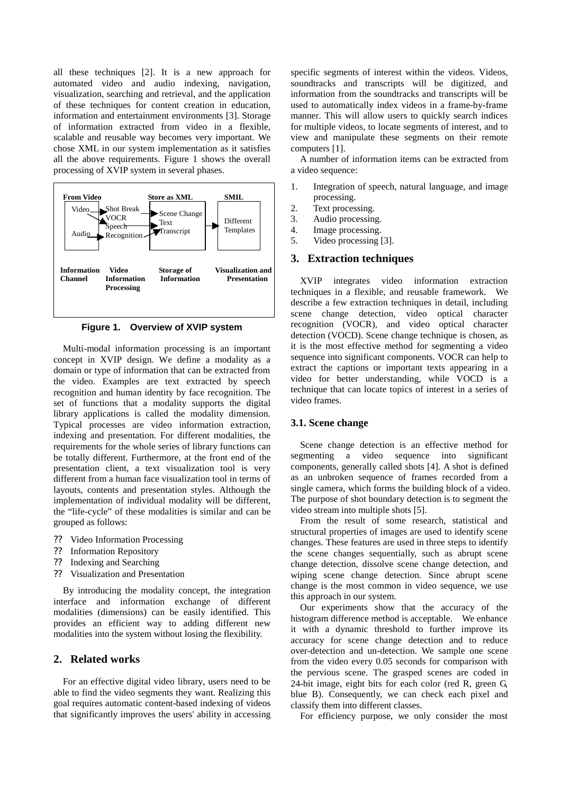all these techniques [2]. It is a new approach for automated video and audio indexing, navigation, visualization, searching and retrieval, and the application of these techniques for content creation in education, information and entertainment environments [3]. Storage of information extracted from video in a flexible, scalable and reusable way becomes very important. We chose XML in our system implementation as it satisfies all the above requirements. Figure 1 shows the overall processing of XVIP system in several phases.



**Figure 1. Overview of XVIP system** 

Multi-modal information processing is an important concept in XVIP design. We define a modality as a domain or type of information that can be extracted from the video. Examples are text extracted by speech recognition and human identity by face recognition. The set of functions that a modality supports the digital library applications is called the modality dimension. Typical processes are video information extraction, indexing and presentation. For different modalities, the requirements for the whole series of library functions can be totally different. Furthermore, at the front end of the presentation client, a text visualization tool is very different from a human face visualization tool in terms of layouts, contents and presentation styles. Although the implementation of individual modality will be different, the "life-cycle" of these modalities is similar and can be grouped as follows:

- ?? Video Information Processing
- ?? Information Repository
- ?? Indexing and Searching
- ?? Visualization and Presentation

By introducing the modality concept, the integration interface and information exchange of different modalities (dimensions) can be easily identified. This provides an efficient way to adding different new modalities into the system without losing the flexibility.

# **2. Related works**

For an effective digital video library, users need to be able to find the video segments they want. Realizing this goal requires automatic content-based indexing of videos that significantly improves the users' ability in accessing

specific segments of interest within the videos. Videos, soundtracks and transcripts will be digitized, and information from the soundtracks and transcripts will be used to automatically index videos in a frame-by-frame manner. This will allow users to quickly search indices for multiple videos, to locate segments of interest, and to view and manipulate these segments on their remote computers [1].

A number of information items can be extracted from a video sequence:

- 1. Integration of speech, natural language, and image processing.
- 2. Text processing.
- 3. Audio processing.
- 4. Image processing.
- 5. Video processing [3].

# **3. Extraction techniques**

XVIP integrates video information extraction techniques in a flexible, and reusable framework. We describe a few extraction techniques in detail, including scene change detection, video optical character recognition (VOCR), and video optical character detection (VOCD). Scene change technique is chosen, as it is the most effective method for segmenting a video sequence into significant components. VOCR can help to extract the captions or important texts appearing in a video for better understanding, while VOCD is a technique that can locate topics of interest in a series of video frames.

#### **3.1. Scene change**

Scene change detection is an effective method for segmenting a video sequence into significant components, generally called shots [4]. A shot is defined as an unbroken sequence of frames recorded from a single camera, which forms the building block of a video. The purpose of shot boundary detection is to segment the video stream into multiple shots [5].

From the result of some research, statistical and structural properties of images are used to identify scene changes. These features are used in three steps to identify the scene changes sequentially, such as abrupt scene change detection, dissolve scene change detection, and wiping scene change detection. Since abrupt scene change is the most common in video sequence, we use this approach in our system.

Our experiments show that the accuracy of the histogram difference method is acceptable. We enhance it with a dynamic threshold to further improve its accuracy for scene change detection and to reduce over-detection and un-detection. We sample one scene from the video every 0.05 seconds for comparison with the pervious scene. The grasped scenes are coded in 24-bit image, eight bits for each color (red R, green G, blue B). Consequently, we can check each pixel and classify them into different classes.

For efficiency purpose, we only consider the most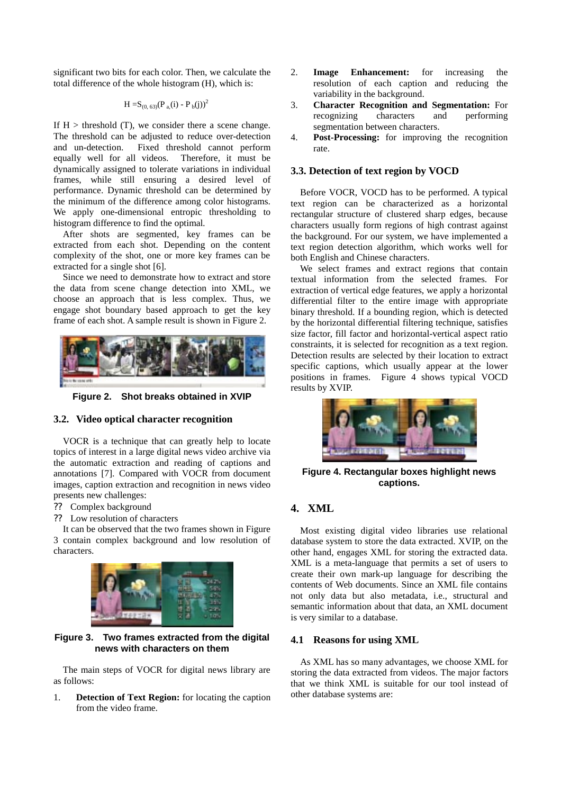significant two bits for each color. Then, we calculate the total difference of the whole histogram (H), which is:

$$
H = S_{(0, 63)}(P_{a,}(i) - P_{b}(j))^2
$$

If  $H >$  threshold (T), we consider there a scene change. The threshold can be adjusted to reduce over-detection and un-detection. Fixed threshold cannot perform equally well for all videos. Therefore, it must be dynamically assigned to tolerate variations in individual frames, while still ensuring a desired level of performance. Dynamic threshold can be determined by the minimum of the difference among color histograms. We apply one-dimensional entropic thresholding to histogram difference to find the optimal*.* 

After shots are segmented, key frames can be extracted from each shot. Depending on the content complexity of the shot, one or more key frames can be extracted for a single shot [6].

Since we need to demonstrate how to extract and store the data from scene change detection into XML, we choose an approach that is less complex. Thus, we engage shot boundary based approach to get the key frame of each shot. A sample result is shown in Figure 2.



**Figure 2. Shot breaks obtained in XVIP** 

# **3.2. Video optical character recognition**

VOCR is a technique that can greatly help to locate topics of interest in a large digital news video archive via the automatic extraction and reading of captions and annotations [7]. Compared with VOCR from document images, caption extraction and recognition in news video presents new challenges:

- ?? Complex background
- ?? Low resolution of characters

It can be observed that the two frames shown in Figure 3 contain complex background and low resolution of characters.



**Figure 3. Two frames extracted from the digital news with characters on them** 

The main steps of VOCR for digital news library are as follows:

1. **Detection of Text Region:** for locating the caption from the video frame.

- 2. **Image Enhancement:** for increasing the resolution of each caption and reducing the variability in the background.
- 3. **Character Recognition and Segmentation:** For recognizing characters and performing segmentation between characters.
- 4. **Post-Processing:** for improving the recognition rate.

# **3.3. Detection of text region by VOCD**

Before VOCR, VOCD has to be performed. A typical text region can be characterized as a horizontal rectangular structure of clustered sharp edges, because characters usually form regions of high contrast against the background. For our system, we have implemented a text region detection algorithm, which works well for both English and Chinese characters.

We select frames and extract regions that contain textual information from the selected frames. For extraction of vertical edge features, we apply a horizontal differential filter to the entire image with appropriate binary threshold. If a bounding region, which is detected by the horizontal differential filtering technique, satisfies size factor, fill factor and horizontal-vertical aspect ratio constraints, it is selected for recognition as a text region. Detection results are selected by their location to extract specific captions, which usually appear at the lower positions in frames. Figure 4 shows typical VOCD results by XVIP.



**Figure 4. Rectangular boxes highlight news captions.** 

# **4. XML**

Most existing digital video libraries use relational database system to store the data extracted. XVIP, on the other hand, engages XML for storing the extracted data. XML is a meta-language that permits a set of users to create their own mark-up language for describing the contents of Web documents. Since an XML file contains not only data but also metadata, i.e., structural and semantic information about that data, an XML document is very similar to a database.

### **4.1 Reasons for using XML**

 As XML has so many advantages, we choose XML for storing the data extracted from videos. The major factors that we think XML is suitable for our tool instead of other database systems are: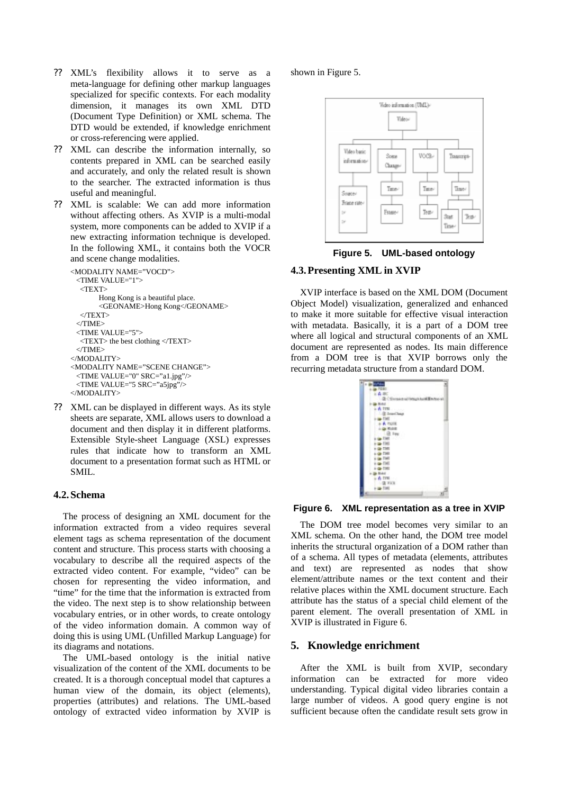- ?? XML's flexibility allows it to serve as a meta-language for defining other markup languages specialized for specific contexts. For each modality dimension, it manages its own XML DTD (Document Type Definition) or XML schema. The DTD would be extended, if knowledge enrichment or cross-referencing were applied.
- ?? XML can describe the information internally, so contents prepared in XML can be searched easily and accurately, and only the related result is shown to the searcher. The extracted information is thus useful and meaningful.
- ?? XML is scalable: We can add more information without affecting others. As XVIP is a multi-modal system, more components can be added to XVIP if a new extracting information technique is developed. In the following XML, it contains both the VOCR and scene change modalities.

```
<MODALITY NAME="VOCD"> 
 <TIME VALUE="1"> 
   <TEXT> 
        Hong Kong is a beautiful place. 
        <GEONAME>Hong Kong</GEONAME> 
   </TEXT> 
 </TIME> 
 <TIME VALUE="5"> 
   <TEXT> the best clothing </TEXT> 
 </TIME> 
</MODALITY> 
<MODALITY NAME="SCENE CHANGE">
 <TIME VALUE="0" SRC="a1.jpg"/> 
 <TIME VALUE="5 SRC="a5jpg"/> 
</MODALITY>
```
?? XML can be displayed in different ways. As its style sheets are separate, XML allows users to download a document and then display it in different platforms. Extensible Style-sheet Language (XSL) expresses rules that indicate how to transform an XML document to a presentation format such as HTML or SMIL.

### **4.2. Schema**

The process of designing an XML document for the information extracted from a video requires several element tags as schema representation of the document content and structure. This process starts with choosing a vocabulary to describe all the required aspects of the extracted video content. For example, "video" can be chosen for representing the video information, and "time" for the time that the information is extracted from the video. The next step is to show relationship between vocabulary entries, or in other words, to create ontology of the video information domain. A common way of doing this is using UML (Unfilled Markup Language) for its diagrams and notations.

The UML-based ontology is the initial native visualization of the content of the XML documents to be created. It is a thorough conceptual model that captures a human view of the domain, its object (elements), properties (attributes) and relations. The UML-based ontology of extracted video information by XVIP is

#### shown in Figure 5.





### **4.3. Presenting XML in XVIP**

XVIP interface is based on the XML DOM (Document Object Model) visualization, generalized and enhanced to make it more suitable for effective visual interaction with metadata. Basically, it is a part of a DOM tree where all logical and structural components of an XML document are represented as nodes. Its main difference from a DOM tree is that XVIP borrows only the recurring metadata structure from a standard DOM.



**Figure 6. XML representation as a tree in XVIP** 

The DOM tree model becomes very similar to an XML schema. On the other hand, the DOM tree model inherits the structural organization of a DOM rather than of a schema. All types of metadata (elements, attributes and text) are represented as nodes that show element/attribute names or the text content and their relative places within the XML document structure. Each attribute has the status of a special child element of the parent element. The overall presentation of XML in XVIP is illustrated in Figure 6.

#### **5. Knowledge enrichment**

After the XML is built from XVIP, secondary information can be extracted for more video understanding. Typical digital video libraries contain a large number of videos. A good query engine is not sufficient because often the candidate result sets grow in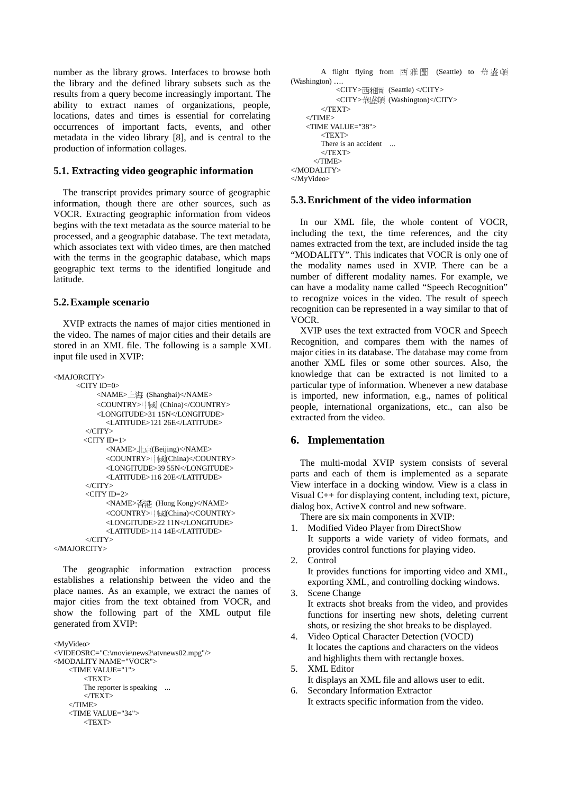number as the library grows. Interfaces to browse both the library and the defined library subsets such as the results from a query become increasingly important. The ability to extract names of organizations, people, locations, dates and times is essential for correlating occurrences of important facts, events, and other metadata in the video library [8], and is central to the production of information collages.

#### **5.1. Extracting video geographic information**

 The transcript provides primary source of geographic information, though there are other sources, such as VOCR. Extracting geographic information from videos begins with the text metadata as the source material to be processed, and a geographic database. The text metadata, which associates text with video times, are then matched with the terms in the geographic database, which maps geographic text terms to the identified longitude and latitude.

#### **5.2. Example scenario**

XVIP extracts the names of major cities mentioned in the video. The names of major cities and their details are stored in an XML file. The following is a sample XML input file used in XVIP:

```
<MAJORCITY> 
      \langleCITY ID=0><NAME>上海 (Shanghai)</NAME>
           <COUNTRY>||喊 (China)</COUNTRY>
            <LONGITUDE>31 15N</LONGITUDE> 
              <LATITUDE>121 26E</LATITUDE> 
         </CITY> 
       \langleCITY ID=1> <NAME> (Beijing)</NAME> 
             <COUNTRY>|||或(China)</COUNTRY>
              <LONGITUDE>39 55N</LONGITUDE> 
              <LATITUDE>116 20E</LATITUDE> 
        \langle/CITY> <CITY ID=2> 
             <NAME>香港 (Hong Kong)</NAME>
              <COUNTRY> (China)</COUNTRY> 
              <LONGITUDE>22 11N</LONGITUDE> 
              <LATITUDE>114 14E</LATITUDE> 
         </CITY> 
</MAJORCITY>
```
The geographic information extraction process establishes a relationship between the video and the place names. As an example, we extract the names of major cities from the text obtained from VOCR, and show the following part of the XML output file generated from XVIP:

```
<MyVideo> 
<VIDEOSRC="C:\movie\news2\atvnews02.mpg"/> 
<MODALITY NAME="VOCR"> 
   <TIME VALUE="1"> 
        <TEXT> 
        The reporter is speaking ...
        \langleTEXT></TIME> 
   <TIME VALUE="34"> 
        <TEXT>
```

```
A flight flying from 西雅圖 (Seattle) to 華盛頓
(Washington) …. 
           <CITY>西雅圖 (Seattle) </CITY>
           <CITY>華盛頓 (Washington)</CITY>
```

```
\langleTEXT>
    </TIME> 
    <TIME VALUE="38"> 
       <TEXT>There is an accident
        </TEXT>
      </TIME></MODALITY> 
</MyVideo>
```
#### **5.3. Enrichment of the video information**

In our XML file, the whole content of VOCR, including the text, the time references, and the city names extracted from the text, are included inside the tag "MODALITY". This indicates that VOCR is only one of the modality names used in XVIP. There can be a number of different modality names. For example, we can have a modality name called "Speech Recognition" to recognize voices in the video. The result of speech recognition can be represented in a way similar to that of VOCR.

XVIP uses the text extracted from VOCR and Speech Recognition, and compares them with the names of major cities in its database. The database may come from another XML files or some other sources. Also, the knowledge that can be extracted is not limited to a particular type of information. Whenever a new database is imported, new information, e.g., names of political people, international organizations, etc., can also be extracted from the video.

### **6. Implementation**

The multi-modal XVIP system consists of several parts and each of them is implemented as a separate View interface in a docking window. View is a class in Visual C++ for displaying content, including text, picture, dialog box, ActiveX control and new software.

There are six main components in XVIP:

1. Modified Video Player from DirectShow It supports a wide variety of video formats, and provides control functions for playing video.

```
2. Control
```
It provides functions for importing video and XML, exporting XML, and controlling docking windows.

- 3. Scene Change It extracts shot breaks from the video, and provides functions for inserting new shots, deleting current shots, or resizing the shot breaks to be displayed.
- 4. Video Optical Character Detection (VOCD) It locates the captions and characters on the videos and highlights them with rectangle boxes.
- 5. XML Editor
- It displays an XML file and allows user to edit.
- 6. Secondary Information Extractor It extracts specific information from the video.